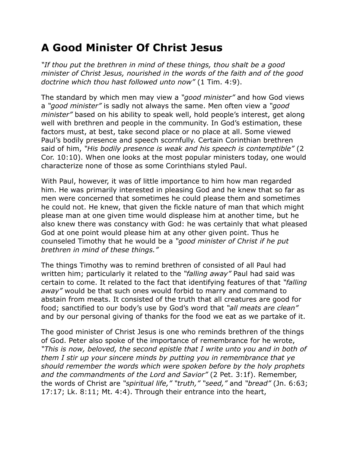## **A Good Minister Of Christ Jesus**

*"If thou put the brethren in mind of these things, thou shalt be a good minister of Christ Jesus, nourished in the words of the faith and of the good doctrine which thou hast followed unto now"* (1 Tim. 4:9).

The standard by which men may view a *"good minister"* and how God views a *"good minister"* is sadly not always the same. Men often view a *"good minister"* based on his ability to speak well, hold people's interest, get along well with brethren and people in the community. In God's estimation, these factors must, at best, take second place or no place at all. Some viewed Paul's bodily presence and speech scornfully. Certain Corinthian brethren said of him, *"His bodily presence is weak and his speech is contemptible"* (2 Cor. 10:10). When one looks at the most popular ministers today, one would characterize none of those as some Corinthians styled Paul.

With Paul, however, it was of little importance to him how man regarded him. He was primarily interested in pleasing God and he knew that so far as men were concerned that sometimes he could please them and sometimes he could not. He knew, that given the fickle nature of man that which might please man at one given time would displease him at another time, but he also knew there was constancy with God: he was certainly that what pleased God at one point would please him at any other given point. Thus he counseled Timothy that he would be a *"good minister of Christ if he put brethren in mind of these things."*

The things Timothy was to remind brethren of consisted of all Paul had written him; particularly it related to the *"falling away"* Paul had said was certain to come. It related to the fact that identifying features of that *"falling away"* would be that such ones would forbid to marry and command to abstain from meats. It consisted of the truth that all creatures are good for food; sanctified to our body's use by God's word that *"all meats are clean"* and by our personal giving of thanks for the food we eat as we partake of it.

The good minister of Christ Jesus is one who reminds brethren of the things of God. Peter also spoke of the importance of remembrance for he wrote, *"This is now, beloved, the second epistle that I write unto you and in both of them I stir up your sincere minds by putting you in remembrance that ye should remember the words which were spoken before by the holy prophets and the commandments of the Lord and Savior"* (2 Pet. 3:1f). Remember, the words of Christ are *"spiritual life," "truth," "seed,"* and *"bread"* (Jn. 6:63; 17:17; Lk. 8:11; Mt. 4:4). Through their entrance into the heart,